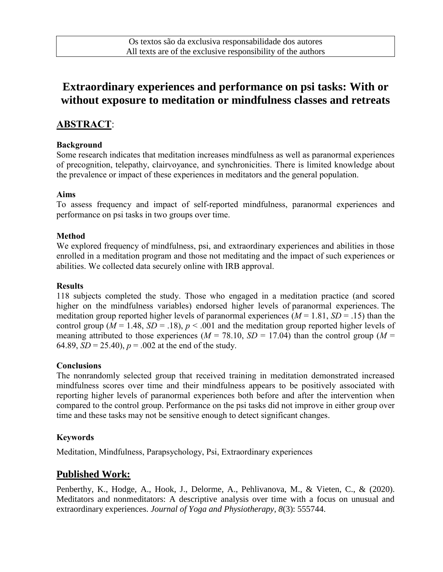# **Extraordinary experiences and performance on psi tasks: With or without exposure to meditation or mindfulness classes and retreats**

# **ABSTRACT**:

#### **Background**

Some research indicates that meditation increases mindfulness as well as paranormal experiences of precognition, telepathy, clairvoyance, and synchronicities. There is limited knowledge about the prevalence or impact of these experiences in meditators and the general population.

### **Aims**

To assess frequency and impact of self-reported mindfulness, paranormal experiences and performance on psi tasks in two groups over time.

### **Method**

We explored frequency of mindfulness, psi, and extraordinary experiences and abilities in those enrolled in a meditation program and those not meditating and the impact of such experiences or abilities. We collected data securely online with IRB approval.

#### **Results**

118 subjects completed the study. Those who engaged in a meditation practice (and scored higher on the mindfulness variables) endorsed higher levels of paranormal experiences. The meditation group reported higher levels of paranormal experiences  $(M = 1.81, SD = .15)$  than the control group ( $M = 1.48$ ,  $SD = .18$ ),  $p < .001$  and the meditation group reported higher levels of meaning attributed to those experiences ( $M = 78.10$ ,  $SD = 17.04$ ) than the control group ( $M =$ 64.89,  $SD = 25.40$ ,  $p = .002$  at the end of the study.

#### **Conclusions**

The nonrandomly selected group that received training in meditation demonstrated increased mindfulness scores over time and their mindfulness appears to be positively associated with reporting higher levels of paranormal experiences both before and after the intervention when compared to the control group. Performance on the psi tasks did not improve in either group over time and these tasks may not be sensitive enough to detect significant changes.

### **Keywords**

Meditation, Mindfulness, Parapsychology, Psi, Extraordinary experiences

## **Published Work:**

Penberthy, K., Hodge, A., Hook, J., Delorme, A., Pehlivanova, M., & Vieten, C., & (2020). Meditators and nonmeditators: A descriptive analysis over time with a focus on unusual and extraordinary experiences. *Journal of Yoga and Physiotherapy, 8*(3): 555744.